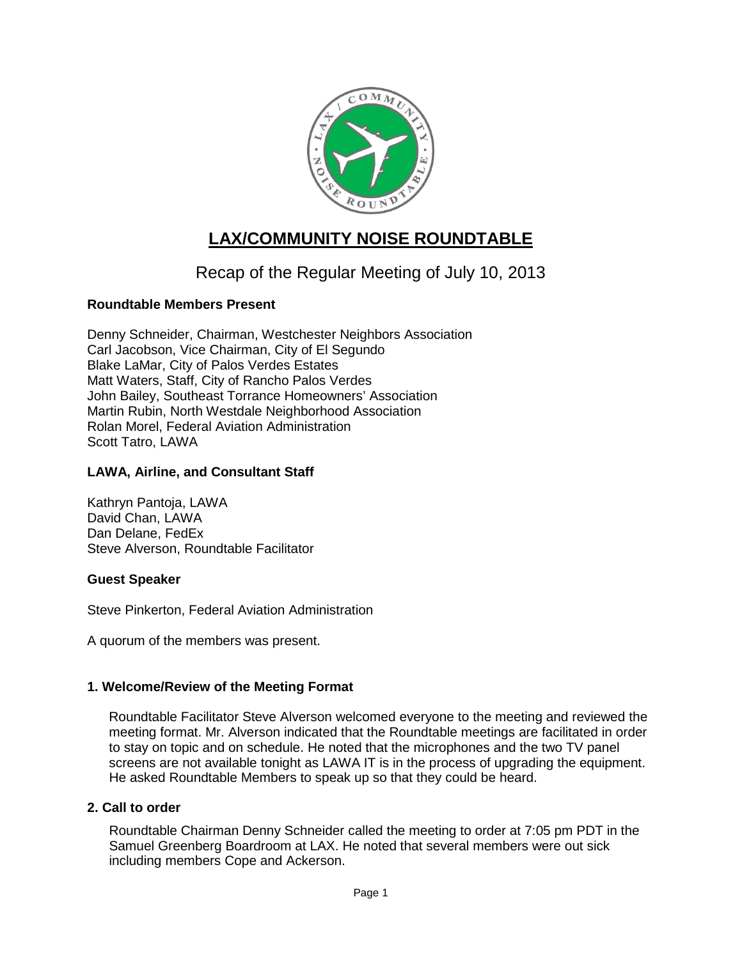

# **LAX/COMMUNITY NOISE ROUNDTABLE**

## Recap of the Regular Meeting of July 10, 2013

## **Roundtable Members Present**

Denny Schneider, Chairman, Westchester Neighbors Association Carl Jacobson, Vice Chairman, City of El Segundo Blake LaMar, City of Palos Verdes Estates Matt Waters, Staff, City of Rancho Palos Verdes John Bailey, Southeast Torrance Homeowners' Association Martin Rubin, North Westdale Neighborhood Association Rolan Morel, Federal Aviation Administration Scott Tatro, LAWA

## **LAWA, Airline, and Consultant Staff**

Kathryn Pantoja, LAWA David Chan, LAWA Dan Delane, FedEx Steve Alverson, Roundtable Facilitator

#### **Guest Speaker**

Steve Pinkerton, Federal Aviation Administration

A quorum of the members was present.

#### **1. Welcome/Review of the Meeting Format**

Roundtable Facilitator Steve Alverson welcomed everyone to the meeting and reviewed the meeting format. Mr. Alverson indicated that the Roundtable meetings are facilitated in order to stay on topic and on schedule. He noted that the microphones and the two TV panel screens are not available tonight as LAWA IT is in the process of upgrading the equipment. He asked Roundtable Members to speak up so that they could be heard.

#### **2. Call to order**

Roundtable Chairman Denny Schneider called the meeting to order at 7:05 pm PDT in the Samuel Greenberg Boardroom at LAX. He noted that several members were out sick including members Cope and Ackerson.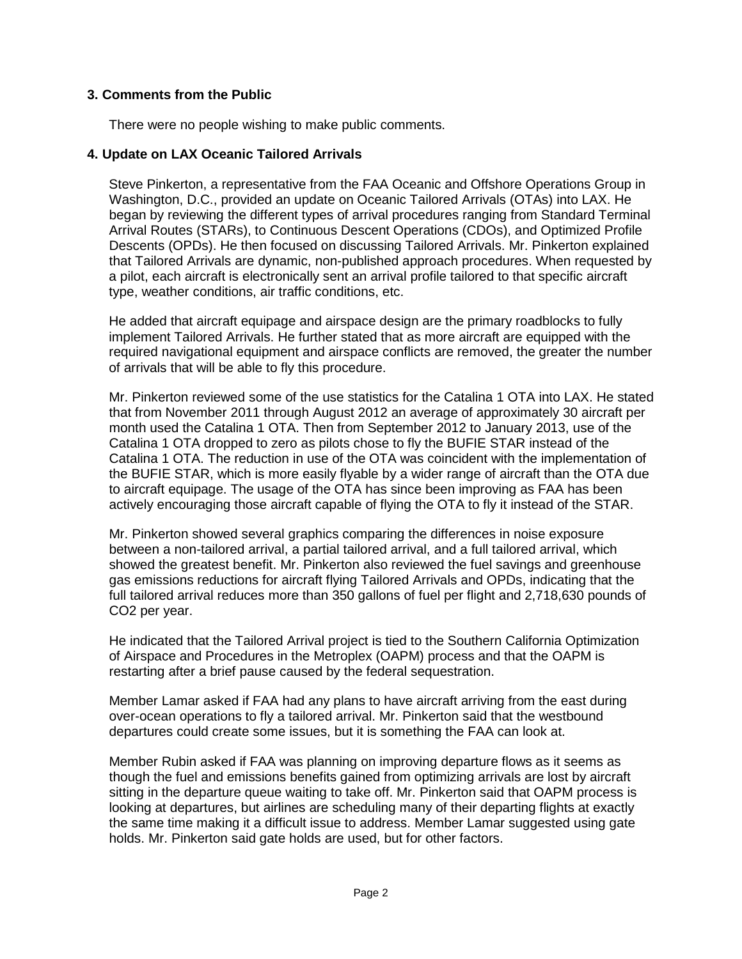## **3. Comments from the Public**

There were no people wishing to make public comments.

### **4. Update on LAX Oceanic Tailored Arrivals**

Steve Pinkerton, a representative from the FAA Oceanic and Offshore Operations Group in Washington, D.C., provided an update on Oceanic Tailored Arrivals (OTAs) into LAX. He began by reviewing the different types of arrival procedures ranging from Standard Terminal Arrival Routes (STARs), to Continuous Descent Operations (CDOs), and Optimized Profile Descents (OPDs). He then focused on discussing Tailored Arrivals. Mr. Pinkerton explained that Tailored Arrivals are dynamic, non-published approach procedures. When requested by a pilot, each aircraft is electronically sent an arrival profile tailored to that specific aircraft type, weather conditions, air traffic conditions, etc.

He added that aircraft equipage and airspace design are the primary roadblocks to fully implement Tailored Arrivals. He further stated that as more aircraft are equipped with the required navigational equipment and airspace conflicts are removed, the greater the number of arrivals that will be able to fly this procedure.

Mr. Pinkerton reviewed some of the use statistics for the Catalina 1 OTA into LAX. He stated that from November 2011 through August 2012 an average of approximately 30 aircraft per month used the Catalina 1 OTA. Then from September 2012 to January 2013, use of the Catalina 1 OTA dropped to zero as pilots chose to fly the BUFIE STAR instead of the Catalina 1 OTA. The reduction in use of the OTA was coincident with the implementation of the BUFIE STAR, which is more easily flyable by a wider range of aircraft than the OTA due to aircraft equipage. The usage of the OTA has since been improving as FAA has been actively encouraging those aircraft capable of flying the OTA to fly it instead of the STAR.

Mr. Pinkerton showed several graphics comparing the differences in noise exposure between a non-tailored arrival, a partial tailored arrival, and a full tailored arrival, which showed the greatest benefit. Mr. Pinkerton also reviewed the fuel savings and greenhouse gas emissions reductions for aircraft flying Tailored Arrivals and OPDs, indicating that the full tailored arrival reduces more than 350 gallons of fuel per flight and 2,718,630 pounds of CO2 per year.

He indicated that the Tailored Arrival project is tied to the Southern California Optimization of Airspace and Procedures in the Metroplex (OAPM) process and that the OAPM is restarting after a brief pause caused by the federal sequestration.

Member Lamar asked if FAA had any plans to have aircraft arriving from the east during over-ocean operations to fly a tailored arrival. Mr. Pinkerton said that the westbound departures could create some issues, but it is something the FAA can look at.

Member Rubin asked if FAA was planning on improving departure flows as it seems as though the fuel and emissions benefits gained from optimizing arrivals are lost by aircraft sitting in the departure queue waiting to take off. Mr. Pinkerton said that OAPM process is looking at departures, but airlines are scheduling many of their departing flights at exactly the same time making it a difficult issue to address. Member Lamar suggested using gate holds. Mr. Pinkerton said gate holds are used, but for other factors.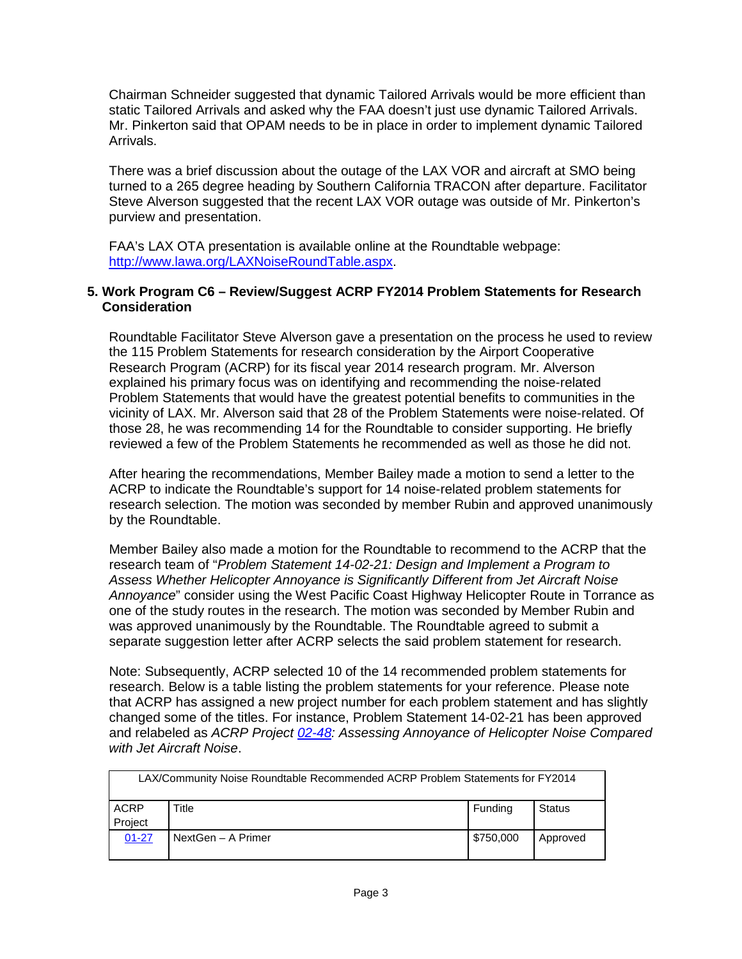Chairman Schneider suggested that dynamic Tailored Arrivals would be more efficient than static Tailored Arrivals and asked why the FAA doesn't just use dynamic Tailored Arrivals. Mr. Pinkerton said that OPAM needs to be in place in order to implement dynamic Tailored Arrivals.

There was a brief discussion about the outage of the LAX VOR and aircraft at SMO being turned to a 265 degree heading by Southern California TRACON after departure. Facilitator Steve Alverson suggested that the recent LAX VOR outage was outside of Mr. Pinkerton's purview and presentation.

FAA's LAX OTA presentation is available online at the Roundtable webpage: [http://www.lawa.org/LAXNoiseRoundTable.aspx.](http://www.lawa.org/LAXNoiseRoundTable.aspx)

#### **5. Work Program C6 – Review/Suggest ACRP FY2014 Problem Statements for Research Consideration**

Roundtable Facilitator Steve Alverson gave a presentation on the process he used to review the 115 Problem Statements for research consideration by the Airport Cooperative Research Program (ACRP) for its fiscal year 2014 research program. Mr. Alverson explained his primary focus was on identifying and recommending the noise-related Problem Statements that would have the greatest potential benefits to communities in the vicinity of LAX. Mr. Alverson said that 28 of the Problem Statements were noise-related. Of those 28, he was recommending 14 for the Roundtable to consider supporting. He briefly reviewed a few of the Problem Statements he recommended as well as those he did not.

After hearing the recommendations, Member Bailey made a motion to send a letter to the ACRP to indicate the Roundtable's support for 14 noise-related problem statements for research selection. The motion was seconded by member Rubin and approved unanimously by the Roundtable.

Member Bailey also made a motion for the Roundtable to recommend to the ACRP that the research team of "*Problem Statement 14-02-21: Design and Implement a Program to Assess Whether Helicopter Annoyance is Significantly Different from Jet Aircraft Noise Annoyance*" consider using the West Pacific Coast Highway Helicopter Route in Torrance as one of the study routes in the research. The motion was seconded by Member Rubin and was approved unanimously by the Roundtable. The Roundtable agreed to submit a separate suggestion letter after ACRP selects the said problem statement for research.

Note: Subsequently, ACRP selected 10 of the 14 recommended problem statements for research. Below is a table listing the problem statements for your reference. Please note that ACRP has assigned a new project number for each problem statement and has slightly changed some of the titles. For instance, Problem Statement 14-02-21 has been approved and relabeled as *ACRP Project [02-48:](http://apps.trb.org/cmsfeed/TRBNetProjectDisplay.asp?ProjectID=3694) Assessing Annoyance of Helicopter Noise Compared with Jet Aircraft Noise*.

| LAX/Community Noise Roundtable Recommended ACRP Problem Statements for FY2014 |                    |           |               |  |  |
|-------------------------------------------------------------------------------|--------------------|-----------|---------------|--|--|
| ACRP                                                                          | Title              | Funding   | <b>Status</b> |  |  |
| Project                                                                       |                    |           |               |  |  |
| $01 - 27$                                                                     | NextGen - A Primer | \$750,000 | Approved      |  |  |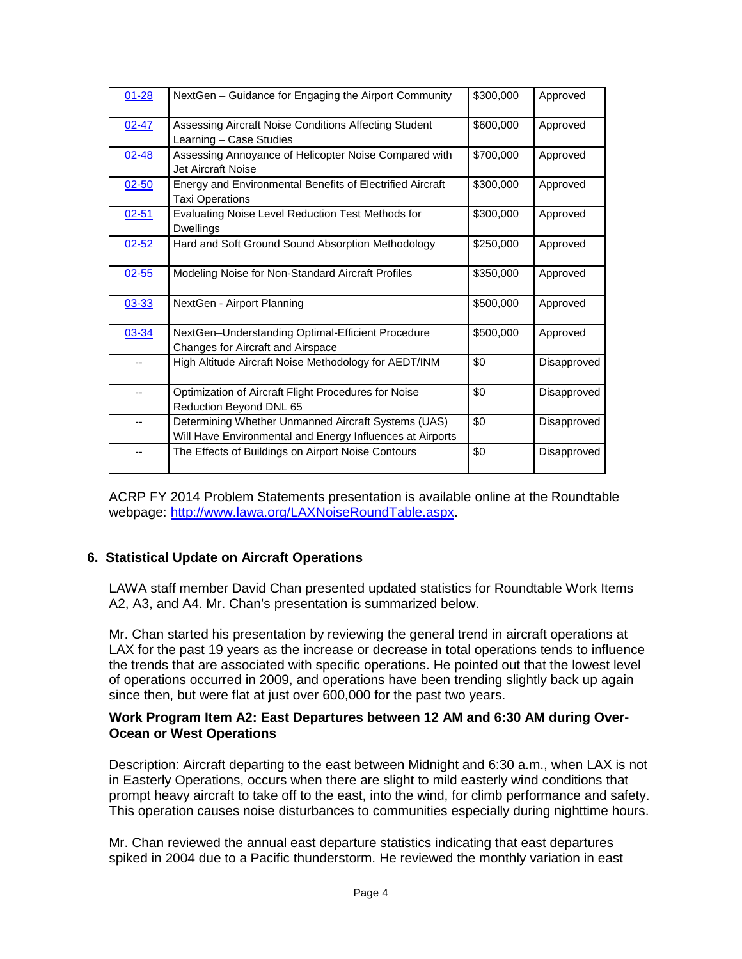| $01 - 28$ | NextGen - Guidance for Engaging the Airport Community                                                            | \$300,000 | Approved    |
|-----------|------------------------------------------------------------------------------------------------------------------|-----------|-------------|
| $02 - 47$ | Assessing Aircraft Noise Conditions Affecting Student<br>Learning - Case Studies                                 | \$600,000 | Approved    |
| $02 - 48$ | Assessing Annoyance of Helicopter Noise Compared with<br>Jet Aircraft Noise                                      | \$700,000 | Approved    |
| $02 - 50$ | Energy and Environmental Benefits of Electrified Aircraft<br><b>Taxi Operations</b>                              | \$300,000 | Approved    |
| $02 - 51$ | Evaluating Noise Level Reduction Test Methods for<br><b>Dwellings</b>                                            | \$300,000 | Approved    |
| $02 - 52$ | Hard and Soft Ground Sound Absorption Methodology                                                                | \$250,000 | Approved    |
| $02 - 55$ | Modeling Noise for Non-Standard Aircraft Profiles                                                                | \$350,000 | Approved    |
| $03 - 33$ | NextGen - Airport Planning                                                                                       | \$500,000 | Approved    |
| 03-34     | NextGen-Understanding Optimal-Efficient Procedure<br>Changes for Aircraft and Airspace                           | \$500,000 | Approved    |
|           | High Altitude Aircraft Noise Methodology for AEDT/INM                                                            | \$0       | Disapproved |
| --        | Optimization of Aircraft Flight Procedures for Noise<br>Reduction Beyond DNL 65                                  | \$0       | Disapproved |
|           | Determining Whether Unmanned Aircraft Systems (UAS)<br>Will Have Environmental and Energy Influences at Airports | \$0       | Disapproved |
|           | The Effects of Buildings on Airport Noise Contours                                                               | \$0       | Disapproved |

ACRP FY 2014 Problem Statements presentation is available online at the Roundtable webpage: [http://www.lawa.org/LAXNoiseRoundTable.aspx.](http://www.lawa.org/LAXNoiseRoundTable.aspx)

#### **6. Statistical Update on Aircraft Operations**

LAWA staff member David Chan presented updated statistics for Roundtable Work Items A2, A3, and A4. Mr. Chan's presentation is summarized below.

Mr. Chan started his presentation by reviewing the general trend in aircraft operations at LAX for the past 19 years as the increase or decrease in total operations tends to influence the trends that are associated with specific operations. He pointed out that the lowest level of operations occurred in 2009, and operations have been trending slightly back up again since then, but were flat at just over 600,000 for the past two years.

#### **Work Program Item A2: East Departures between 12 AM and 6:30 AM during Over-Ocean or West Operations**

Description: Aircraft departing to the east between Midnight and 6:30 a.m., when LAX is not in Easterly Operations, occurs when there are slight to mild easterly wind conditions that prompt heavy aircraft to take off to the east, into the wind, for climb performance and safety. This operation causes noise disturbances to communities especially during nighttime hours.

Mr. Chan reviewed the annual east departure statistics indicating that east departures spiked in 2004 due to a Pacific thunderstorm. He reviewed the monthly variation in east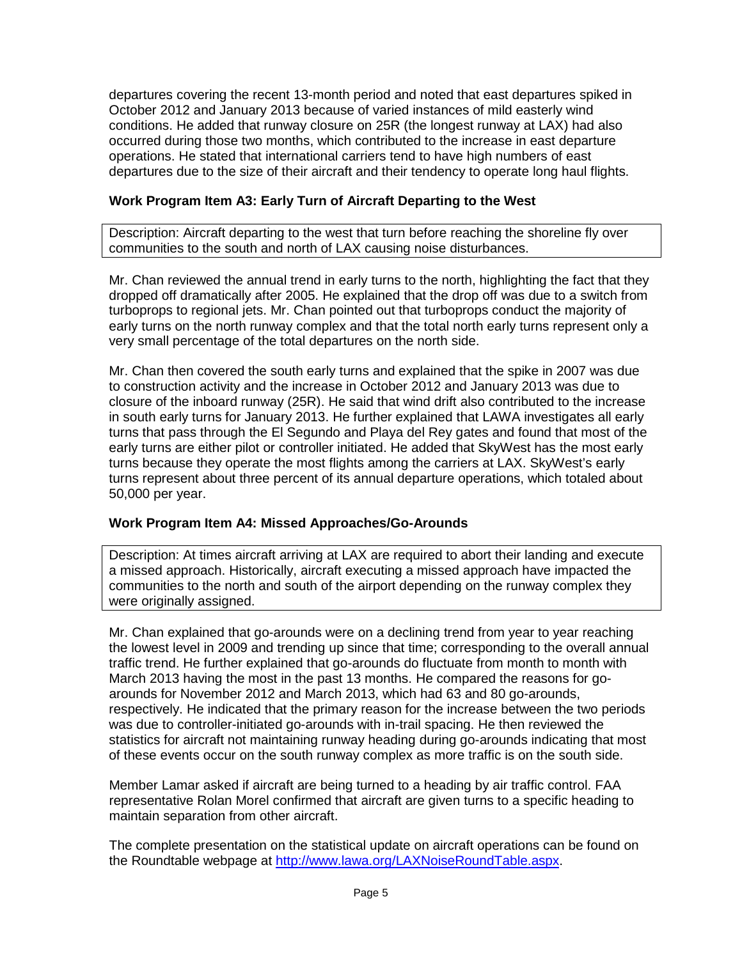departures covering the recent 13-month period and noted that east departures spiked in October 2012 and January 2013 because of varied instances of mild easterly wind conditions. He added that runway closure on 25R (the longest runway at LAX) had also occurred during those two months, which contributed to the increase in east departure operations. He stated that international carriers tend to have high numbers of east departures due to the size of their aircraft and their tendency to operate long haul flights.

## **Work Program Item A3: Early Turn of Aircraft Departing to the West**

Description: Aircraft departing to the west that turn before reaching the shoreline fly over communities to the south and north of LAX causing noise disturbances.

Mr. Chan reviewed the annual trend in early turns to the north, highlighting the fact that they dropped off dramatically after 2005. He explained that the drop off was due to a switch from turboprops to regional jets. Mr. Chan pointed out that turboprops conduct the majority of early turns on the north runway complex and that the total north early turns represent only a very small percentage of the total departures on the north side.

Mr. Chan then covered the south early turns and explained that the spike in 2007 was due to construction activity and the increase in October 2012 and January 2013 was due to closure of the inboard runway (25R). He said that wind drift also contributed to the increase in south early turns for January 2013. He further explained that LAWA investigates all early turns that pass through the El Segundo and Playa del Rey gates and found that most of the early turns are either pilot or controller initiated. He added that SkyWest has the most early turns because they operate the most flights among the carriers at LAX. SkyWest's early turns represent about three percent of its annual departure operations, which totaled about 50,000 per year.

## **Work Program Item A4: Missed Approaches/Go-Arounds**

Description: At times aircraft arriving at LAX are required to abort their landing and execute a missed approach. Historically, aircraft executing a missed approach have impacted the communities to the north and south of the airport depending on the runway complex they were originally assigned.

Mr. Chan explained that go-arounds were on a declining trend from year to year reaching the lowest level in 2009 and trending up since that time; corresponding to the overall annual traffic trend. He further explained that go-arounds do fluctuate from month to month with March 2013 having the most in the past 13 months. He compared the reasons for goarounds for November 2012 and March 2013, which had 63 and 80 go-arounds, respectively. He indicated that the primary reason for the increase between the two periods was due to controller-initiated go-arounds with in-trail spacing. He then reviewed the statistics for aircraft not maintaining runway heading during go-arounds indicating that most of these events occur on the south runway complex as more traffic is on the south side.

Member Lamar asked if aircraft are being turned to a heading by air traffic control. FAA representative Rolan Morel confirmed that aircraft are given turns to a specific heading to maintain separation from other aircraft.

The complete presentation on the statistical update on aircraft operations can be found on the Roundtable webpage at [http://www.lawa.org/LAXNoiseRoundTable.aspx.](http://www.lawa.org/LAXNoiseRoundTable.aspx)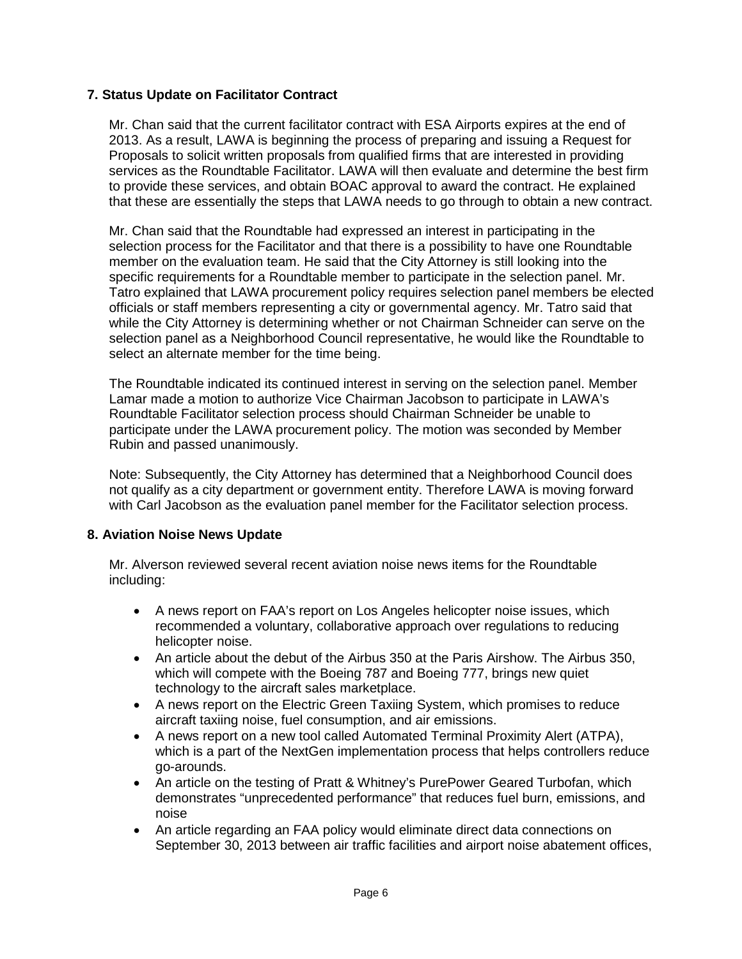## **7. Status Update on Facilitator Contract**

Mr. Chan said that the current facilitator contract with ESA Airports expires at the end of 2013. As a result, LAWA is beginning the process of preparing and issuing a Request for Proposals to solicit written proposals from qualified firms that are interested in providing services as the Roundtable Facilitator. LAWA will then evaluate and determine the best firm to provide these services, and obtain BOAC approval to award the contract. He explained that these are essentially the steps that LAWA needs to go through to obtain a new contract.

Mr. Chan said that the Roundtable had expressed an interest in participating in the selection process for the Facilitator and that there is a possibility to have one Roundtable member on the evaluation team. He said that the City Attorney is still looking into the specific requirements for a Roundtable member to participate in the selection panel. Mr. Tatro explained that LAWA procurement policy requires selection panel members be elected officials or staff members representing a city or governmental agency. Mr. Tatro said that while the City Attorney is determining whether or not Chairman Schneider can serve on the selection panel as a Neighborhood Council representative, he would like the Roundtable to select an alternate member for the time being.

The Roundtable indicated its continued interest in serving on the selection panel. Member Lamar made a motion to authorize Vice Chairman Jacobson to participate in LAWA's Roundtable Facilitator selection process should Chairman Schneider be unable to participate under the LAWA procurement policy. The motion was seconded by Member Rubin and passed unanimously.

Note: Subsequently, the City Attorney has determined that a Neighborhood Council does not qualify as a city department or government entity. Therefore LAWA is moving forward with Carl Jacobson as the evaluation panel member for the Facilitator selection process.

## **8. Aviation Noise News Update**

Mr. Alverson reviewed several recent aviation noise news items for the Roundtable including:

- A news report on FAA's report on Los Angeles helicopter noise issues, which recommended a voluntary, collaborative approach over regulations to reducing helicopter noise.
- An article about the debut of the Airbus 350 at the Paris Airshow. The Airbus 350, which will compete with the Boeing 787 and Boeing 777, brings new quiet technology to the aircraft sales marketplace.
- A news report on the Electric Green Taxiing System, which promises to reduce aircraft taxiing noise, fuel consumption, and air emissions.
- A news report on a new tool called Automated Terminal Proximity Alert (ATPA), which is a part of the NextGen implementation process that helps controllers reduce go-arounds.
- An article on the testing of Pratt & Whitney's PurePower Geared Turbofan, which demonstrates "unprecedented performance" that reduces fuel burn, emissions, and noise
- An article regarding an FAA policy would eliminate direct data connections on September 30, 2013 between air traffic facilities and airport noise abatement offices,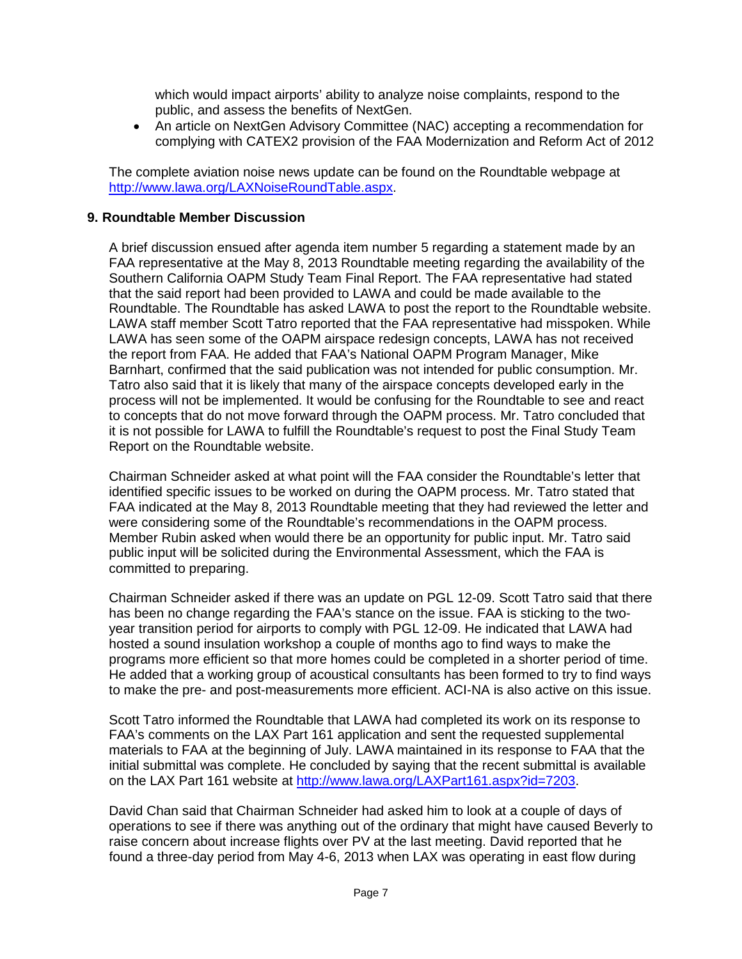which would impact airports' ability to analyze noise complaints, respond to the public, and assess the benefits of NextGen.

• An article on NextGen Advisory Committee (NAC) accepting a recommendation for complying with CATEX2 provision of the FAA Modernization and Reform Act of 2012

The complete aviation noise news update can be found on the Roundtable webpage at [http://www.lawa.org/LAXNoiseRoundTable.aspx.](http://www.lawa.org/LAXNoiseRoundTable.aspx)

#### **9. Roundtable Member Discussion**

A brief discussion ensued after agenda item number 5 regarding a statement made by an FAA representative at the May 8, 2013 Roundtable meeting regarding the availability of the Southern California OAPM Study Team Final Report. The FAA representative had stated that the said report had been provided to LAWA and could be made available to the Roundtable. The Roundtable has asked LAWA to post the report to the Roundtable website. LAWA staff member Scott Tatro reported that the FAA representative had misspoken. While LAWA has seen some of the OAPM airspace redesign concepts, LAWA has not received the report from FAA. He added that FAA's National OAPM Program Manager, Mike Barnhart, confirmed that the said publication was not intended for public consumption. Mr. Tatro also said that it is likely that many of the airspace concepts developed early in the process will not be implemented. It would be confusing for the Roundtable to see and react to concepts that do not move forward through the OAPM process. Mr. Tatro concluded that it is not possible for LAWA to fulfill the Roundtable's request to post the Final Study Team Report on the Roundtable website.

Chairman Schneider asked at what point will the FAA consider the Roundtable's letter that identified specific issues to be worked on during the OAPM process. Mr. Tatro stated that FAA indicated at the May 8, 2013 Roundtable meeting that they had reviewed the letter and were considering some of the Roundtable's recommendations in the OAPM process. Member Rubin asked when would there be an opportunity for public input. Mr. Tatro said public input will be solicited during the Environmental Assessment, which the FAA is committed to preparing.

Chairman Schneider asked if there was an update on PGL 12-09. Scott Tatro said that there has been no change regarding the FAA's stance on the issue. FAA is sticking to the twoyear transition period for airports to comply with PGL 12-09. He indicated that LAWA had hosted a sound insulation workshop a couple of months ago to find ways to make the programs more efficient so that more homes could be completed in a shorter period of time. He added that a working group of acoustical consultants has been formed to try to find ways to make the pre- and post-measurements more efficient. ACI-NA is also active on this issue.

Scott Tatro informed the Roundtable that LAWA had completed its work on its response to FAA's comments on the LAX Part 161 application and sent the requested supplemental materials to FAA at the beginning of July. LAWA maintained in its response to FAA that the initial submittal was complete. He concluded by saying that the recent submittal is available on the LAX Part 161 website at [http://www.lawa.org/LAXPart161.aspx?id=7203.](http://www.lawa.org/LAXPart161.aspx?id=7203)

David Chan said that Chairman Schneider had asked him to look at a couple of days of operations to see if there was anything out of the ordinary that might have caused Beverly to raise concern about increase flights over PV at the last meeting. David reported that he found a three-day period from May 4-6, 2013 when LAX was operating in east flow during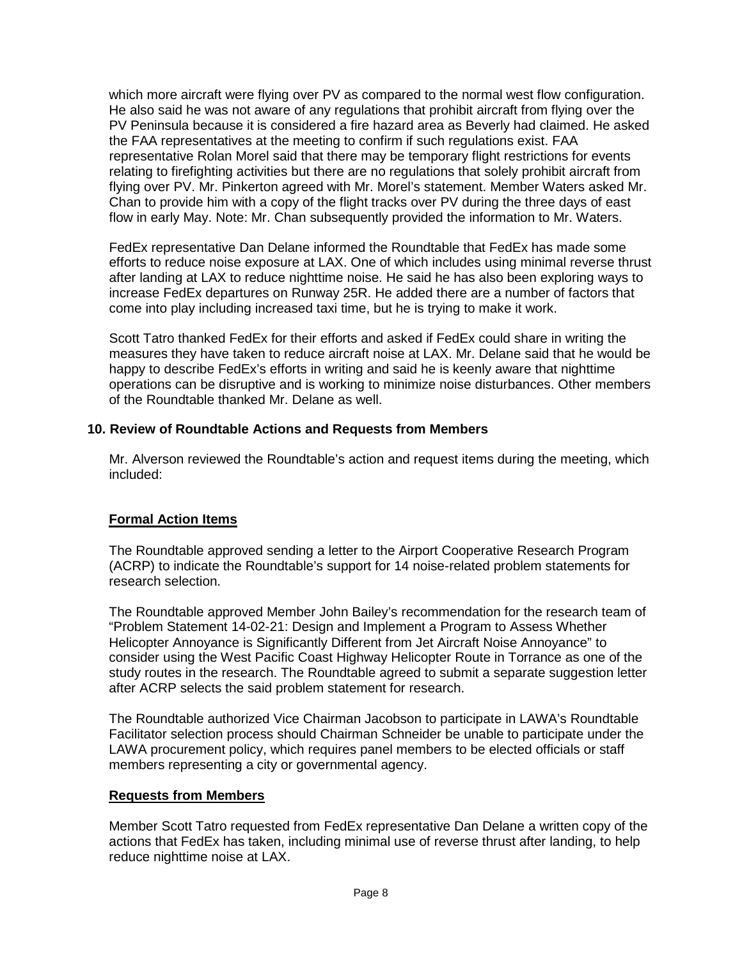which more aircraft were flying over PV as compared to the normal west flow configuration. He also said he was not aware of any regulations that prohibit aircraft from flying over the PV Peninsula because it is considered a fire hazard area as Beverly had claimed. He asked the FAA representatives at the meeting to confirm if such regulations exist. FAA representative Rolan Morel said that there may be temporary flight restrictions for events relating to firefighting activities but there are no regulations that solely prohibit aircraft from flying over PV. Mr. Pinkerton agreed with Mr. Morel's statement. Member Waters asked Mr. Chan to provide him with a copy of the flight tracks over PV during the three days of east flow in early May. Note: Mr. Chan subsequently provided the information to Mr. Waters.

FedEx representative Dan Delane informed the Roundtable that FedEx has made some efforts to reduce noise exposure at LAX. One of which includes using minimal reverse thrust after landing at LAX to reduce nighttime noise. He said he has also been exploring ways to increase FedEx departures on Runway 25R. He added there are a number of factors that come into play including increased taxi time, but he is trying to make it work.

Scott Tatro thanked FedEx for their efforts and asked if FedEx could share in writing the measures they have taken to reduce aircraft noise at LAX. Mr. Delane said that he would be happy to describe FedEx's efforts in writing and said he is keenly aware that nighttime operations can be disruptive and is working to minimize noise disturbances. Other members of the Roundtable thanked Mr. Delane as well.

## **10. Review of Roundtable Actions and Requests from Members**

Mr. Alverson reviewed the Roundtable's action and request items during the meeting, which included:

## **Formal Action Items**

The Roundtable approved sending a letter to the Airport Cooperative Research Program (ACRP) to indicate the Roundtable's support for 14 noise-related problem statements for research selection.

The Roundtable approved Member John Bailey's recommendation for the research team of "Problem Statement 14-02-21: Design and Implement a Program to Assess Whether Helicopter Annoyance is Significantly Different from Jet Aircraft Noise Annoyance" to consider using the West Pacific Coast Highway Helicopter Route in Torrance as one of the study routes in the research. The Roundtable agreed to submit a separate suggestion letter after ACRP selects the said problem statement for research.

The Roundtable authorized Vice Chairman Jacobson to participate in LAWA's Roundtable Facilitator selection process should Chairman Schneider be unable to participate under the LAWA procurement policy, which requires panel members to be elected officials or staff members representing a city or governmental agency.

## **Requests from Members**

Member Scott Tatro requested from FedEx representative Dan Delane a written copy of the actions that FedEx has taken, including minimal use of reverse thrust after landing, to help reduce nighttime noise at LAX.